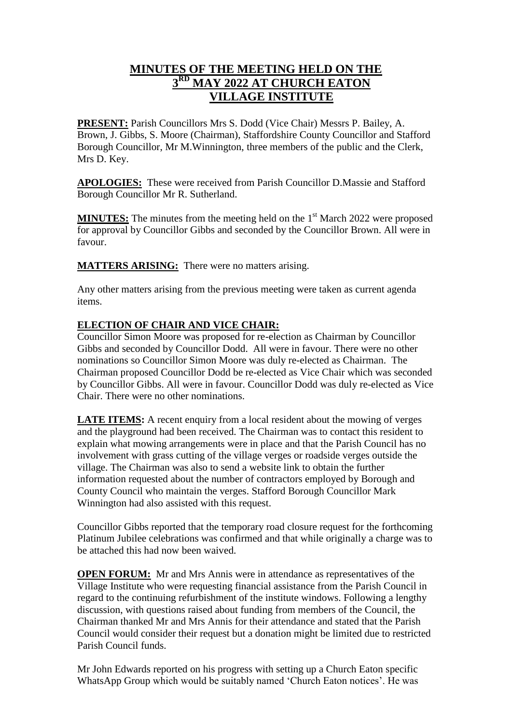## **MINUTES OF THE MEETING HELD ON THE 3 RD MAY 2022 AT CHURCH EATON VILLAGE INSTITUTE**

**PRESENT:** Parish Councillors Mrs S. Dodd (Vice Chair) Messrs P. Bailey, A. Brown, J. Gibbs, S. Moore (Chairman), Staffordshire County Councillor and Stafford Borough Councillor, Mr M.Winnington, three members of the public and the Clerk, Mrs D. Key.

**APOLOGIES:** These were received from Parish Councillor D.Massie and Stafford Borough Councillor Mr R. Sutherland.

**MINUTES:** The minutes from the meeting held on the 1<sup>st</sup> March 2022 were proposed for approval by Councillor Gibbs and seconded by the Councillor Brown. All were in favour.

**MATTERS ARISING:** There were no matters arising.

Any other matters arising from the previous meeting were taken as current agenda items.

## **ELECTION OF CHAIR AND VICE CHAIR:**

Councillor Simon Moore was proposed for re-election as Chairman by Councillor Gibbs and seconded by Councillor Dodd. All were in favour. There were no other nominations so Councillor Simon Moore was duly re-elected as Chairman. The Chairman proposed Councillor Dodd be re-elected as Vice Chair which was seconded by Councillor Gibbs. All were in favour. Councillor Dodd was duly re-elected as Vice Chair. There were no other nominations.

**LATE ITEMS:** A recent enquiry from a local resident about the mowing of verges and the playground had been received. The Chairman was to contact this resident to explain what mowing arrangements were in place and that the Parish Council has no involvement with grass cutting of the village verges or roadside verges outside the village. The Chairman was also to send a website link to obtain the further information requested about the number of contractors employed by Borough and County Council who maintain the verges. Stafford Borough Councillor Mark Winnington had also assisted with this request.

Councillor Gibbs reported that the temporary road closure request for the forthcoming Platinum Jubilee celebrations was confirmed and that while originally a charge was to be attached this had now been waived.

**OPEN FORUM:** Mr and Mrs Annis were in attendance as representatives of the Village Institute who were requesting financial assistance from the Parish Council in regard to the continuing refurbishment of the institute windows. Following a lengthy discussion, with questions raised about funding from members of the Council, the Chairman thanked Mr and Mrs Annis for their attendance and stated that the Parish Council would consider their request but a donation might be limited due to restricted Parish Council funds.

Mr John Edwards reported on his progress with setting up a Church Eaton specific WhatsApp Group which would be suitably named 'Church Eaton notices'. He was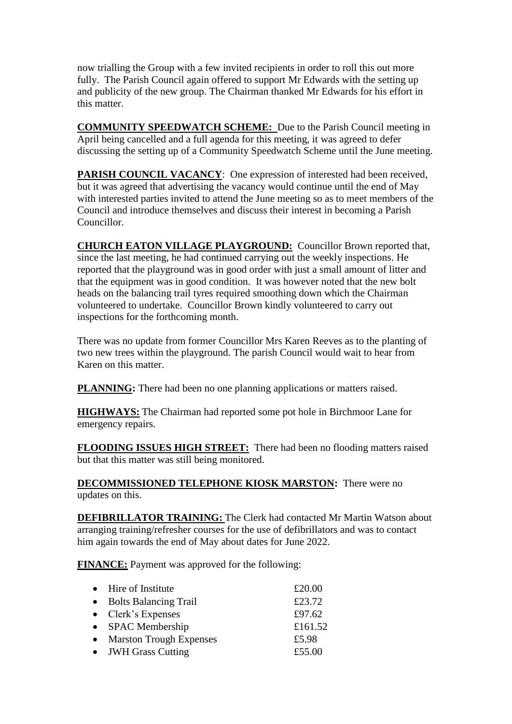now trialling the Group with a few invited recipients in order to roll this out more fully. The Parish Council again offered to support Mr Edwards with the setting up and publicity of the new group. The Chairman thanked Mr Edwards for his effort in this matter.

**COMMUNITY SPEEDWATCH SCHEME:** Due to the Parish Council meeting in April being cancelled and a full agenda for this meeting, it was agreed to defer discussing the setting up of a Community Speedwatch Scheme until the June meeting.

**PARISH COUNCIL VACANCY:** One expression of interested had been received, but it was agreed that advertising the vacancy would continue until the end of May with interested parties invited to attend the June meeting so as to meet members of the Council and introduce themselves and discuss their interest in becoming a Parish Councillor.

**CHURCH EATON VILLAGE PLAYGROUND:** Councillor Brown reported that, since the last meeting, he had continued carrying out the weekly inspections. He reported that the playground was in good order with just a small amount of litter and that the equipment was in good condition. It was however noted that the new bolt heads on the balancing trail tyres required smoothing down which the Chairman volunteered to undertake. Councillor Brown kindly volunteered to carry out inspections for the forthcoming month.

There was no update from former Councillor Mrs Karen Reeves as to the planting of two new trees within the playground. The parish Council would wait to hear from Karen on this matter.

**PLANNING:** There had been no one planning applications or matters raised.

**HIGHWAYS:** The Chairman had reported some pot hole in Birchmoor Lane for emergency repairs.

**FLOODING ISSUES HIGH STREET:** There had been no flooding matters raised but that this matter was still being monitored.

**DECOMMISSIONED TELEPHONE KIOSK MARSTON:** There were no updates on this.

**DEFIBRILLATOR TRAINING:** The Clerk had contacted Mr Martin Watson about arranging training/refresher courses for the use of defibrillators and was to contact him again towards the end of May about dates for June 2022.

**FINANCE:** Payment was approved for the following:

| • Hire of Institute        | £20.00  |
|----------------------------|---------|
| • Bolts Balancing Trail    | £23.72  |
| $\bullet$ Clerk's Expenses | £97.62  |
| • SPAC Membership          | £161.52 |
| • Marston Trough Expenses  | £5.98   |
| • JWH Grass Cutting        | £55.00  |
|                            |         |